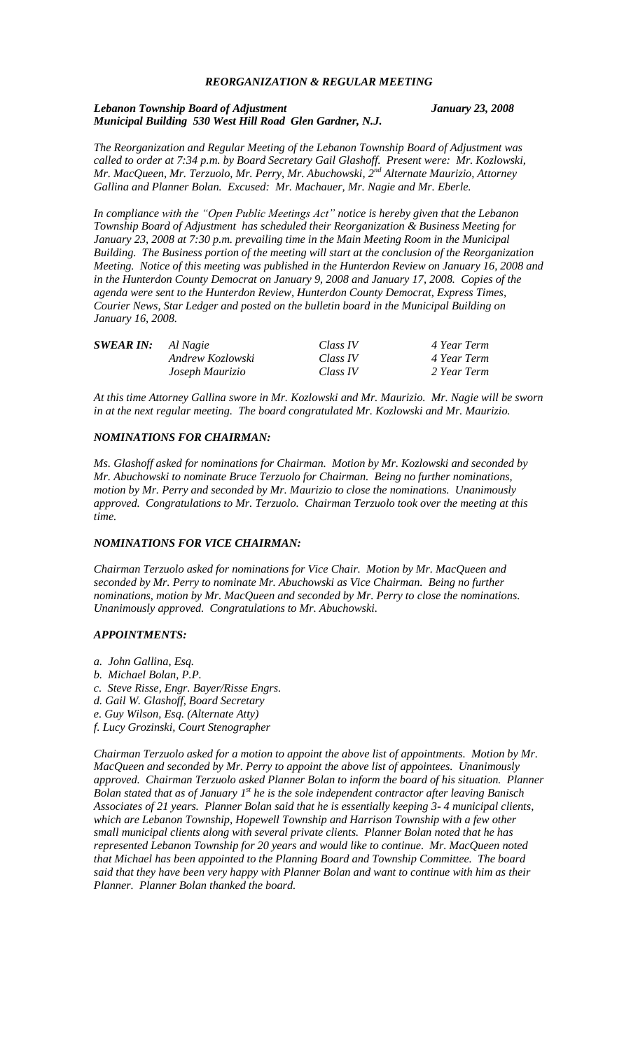#### *REORGANIZATION & REGULAR MEETING*

*Lebanon Township Board of Adjustment January 23, 2008 Municipal Building 530 West Hill Road Glen Gardner, N.J.*

*The Reorganization and Regular Meeting of the Lebanon Township Board of Adjustment was called to order at 7:34 p.m. by Board Secretary Gail Glashoff. Present were: Mr. Kozlowski, Mr. MacQueen, Mr. Terzuolo, Mr. Perry, Mr. Abuchowski, 2nd Alternate Maurizio, Attorney Gallina and Planner Bolan. Excused: Mr. Machauer, Mr. Nagie and Mr. Eberle.*

*In compliance with the "Open Public Meetings Act" notice is hereby given that the Lebanon Township Board of Adjustment has scheduled their Reorganization & Business Meeting for January 23, 2008 at 7:30 p.m. prevailing time in the Main Meeting Room in the Municipal Building. The Business portion of the meeting will start at the conclusion of the Reorganization Meeting. Notice of this meeting was published in the Hunterdon Review on January 16, 2008 and in the Hunterdon County Democrat on January 9, 2008 and January 17, 2008. Copies of the agenda were sent to the Hunterdon Review, Hunterdon County Democrat, Express Times, Courier News, Star Ledger and posted on the bulletin board in the Municipal Building on January 16, 2008.*

| <b>SWEAR IN:</b> Al Nagie |                  | Class IV | 4 Year Term |
|---------------------------|------------------|----------|-------------|
|                           | Andrew Kozlowski | Class IV | 4 Year Term |
|                           | Joseph Maurizio  | Class IV | 2 Year Term |

*At this time Attorney Gallina swore in Mr. Kozlowski and Mr. Maurizio. Mr. Nagie will be sworn in at the next regular meeting. The board congratulated Mr. Kozlowski and Mr. Maurizio.*

#### *NOMINATIONS FOR CHAIRMAN:*

*Ms. Glashoff asked for nominations for Chairman. Motion by Mr. Kozlowski and seconded by Mr. Abuchowski to nominate Bruce Terzuolo for Chairman. Being no further nominations, motion by Mr. Perry and seconded by Mr. Maurizio to close the nominations. Unanimously approved. Congratulations to Mr. Terzuolo. Chairman Terzuolo took over the meeting at this time.*

#### *NOMINATIONS FOR VICE CHAIRMAN:*

*Chairman Terzuolo asked for nominations for Vice Chair. Motion by Mr. MacQueen and seconded by Mr. Perry to nominate Mr. Abuchowski as Vice Chairman. Being no further nominations, motion by Mr. MacQueen and seconded by Mr. Perry to close the nominations. Unanimously approved. Congratulations to Mr. Abuchowski.*

#### *APPOINTMENTS:*

- *a. John Gallina, Esq.*
- *b. Michael Bolan, P.P.*
- *c. Steve Risse, Engr. Bayer/Risse Engrs.*
- *d. Gail W. Glashoff, Board Secretary*
- *e. Guy Wilson, Esq. (Alternate Atty)*
- *f. Lucy Grozinski, Court Stenographer*

*Chairman Terzuolo asked for a motion to appoint the above list of appointments. Motion by Mr. MacQueen and seconded by Mr. Perry to appoint the above list of appointees. Unanimously approved. Chairman Terzuolo asked Planner Bolan to inform the board of his situation. Planner*  **Bolan stated that as of January 1<sup>st</sup> he is the sole independent contractor after leaving Banisch** *Associates of 21 years. Planner Bolan said that he is essentially keeping 3- 4 municipal clients, which are Lebanon Township, Hopewell Township and Harrison Township with a few other small municipal clients along with several private clients. Planner Bolan noted that he has represented Lebanon Township for 20 years and would like to continue. Mr. MacQueen noted that Michael has been appointed to the Planning Board and Township Committee. The board said that they have been very happy with Planner Bolan and want to continue with him as their Planner. Planner Bolan thanked the board.*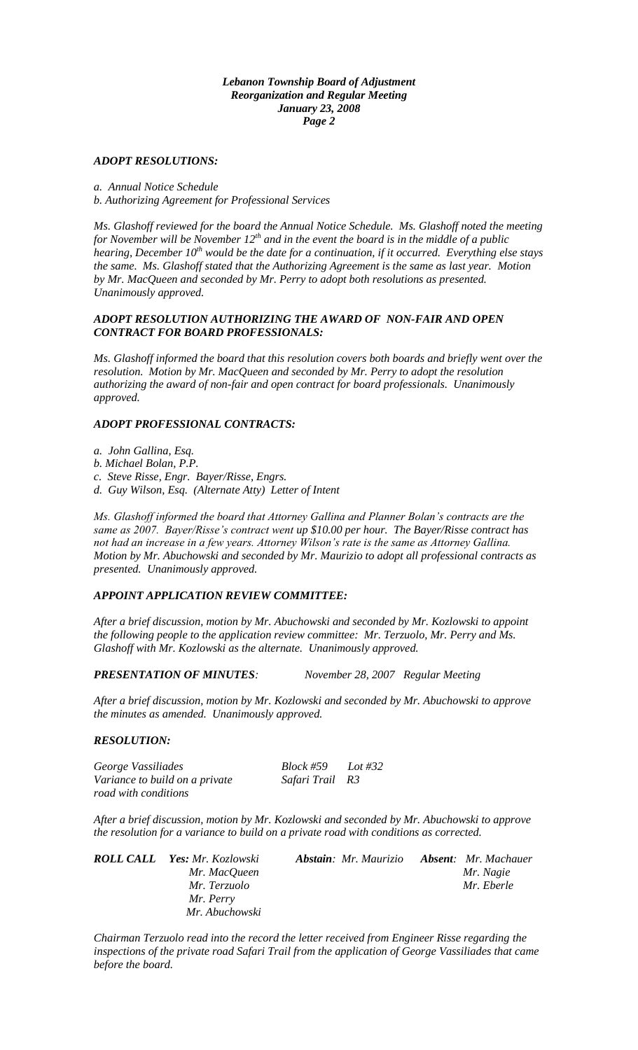*Lebanon Township Board of Adjustment Reorganization and Regular Meeting January 23, 2008 Page 2*

#### *ADOPT RESOLUTIONS:*

*a. Annual Notice Schedule b. Authorizing Agreement for Professional Services*

*Ms. Glashoff reviewed for the board the Annual Notice Schedule. Ms. Glashoff noted the meeting for November will be November 12th and in the event the board is in the middle of a public hearing, December 10th would be the date for a continuation, if it occurred. Everything else stays the same. Ms. Glashoff stated that the Authorizing Agreement is the same as last year. Motion by Mr. MacQueen and seconded by Mr. Perry to adopt both resolutions as presented. Unanimously approved.*

## *ADOPT RESOLUTION AUTHORIZING THE AWARD OF NON-FAIR AND OPEN CONTRACT FOR BOARD PROFESSIONALS:*

*Ms. Glashoff informed the board that this resolution covers both boards and briefly went over the resolution. Motion by Mr. MacQueen and seconded by Mr. Perry to adopt the resolution authorizing the award of non-fair and open contract for board professionals. Unanimously approved.*

## *ADOPT PROFESSIONAL CONTRACTS:*

*a. John Gallina, Esq.*

*b. Michael Bolan, P.P.*

*c. Steve Risse, Engr. Bayer/Risse, Engrs.*

*d. Guy Wilson, Esq. (Alternate Atty) Letter of Intent*

*Ms. Glashoff informed the board that Attorney Gallina and Planner Bolan's contracts are the same as 2007. Bayer/Risse's contract went up \$10.00 per hour. The Bayer/Risse contract has not had an increase in a few years. Attorney Wilson's rate is the same as Attorney Gallina. Motion by Mr. Abuchowski and seconded by Mr. Maurizio to adopt all professional contracts as presented. Unanimously approved.*

## *APPOINT APPLICATION REVIEW COMMITTEE:*

*After a brief discussion, motion by Mr. Abuchowski and seconded by Mr. Kozlowski to appoint the following people to the application review committee: Mr. Terzuolo, Mr. Perry and Ms. Glashoff with Mr. Kozlowski as the alternate. Unanimously approved.*

*PRESENTATION OF MINUTES: November 28, 2007 Regular Meeting*

*After a brief discussion, motion by Mr. Kozlowski and seconded by Mr. Abuchowski to approve the minutes as amended. Unanimously approved.*

#### *RESOLUTION:*

*George Vassiliades Block #59 Lot #32 Variance to build on a private Safari Trail R3 road with conditions*

*After a brief discussion, motion by Mr. Kozlowski and seconded by Mr. Abuchowski to approve the resolution for a variance to build on a private road with conditions as corrected.* 

| <b>ROLL CALL</b> Yes: Mr. Kozlowski | <b>Abstain</b> : Mr. Maurizio | <b>Absent:</b> Mr. Machauer |
|-------------------------------------|-------------------------------|-----------------------------|
| Mr. MacQueen                        |                               | Mr. Nagie                   |
| Mr. Terzuolo                        |                               | Mr. Eberle                  |
| Mr. Perry                           |                               |                             |
| Mr. Abuchowski                      |                               |                             |

*Chairman Terzuolo read into the record the letter received from Engineer Risse regarding the inspections of the private road Safari Trail from the application of George Vassiliades that came before the board.*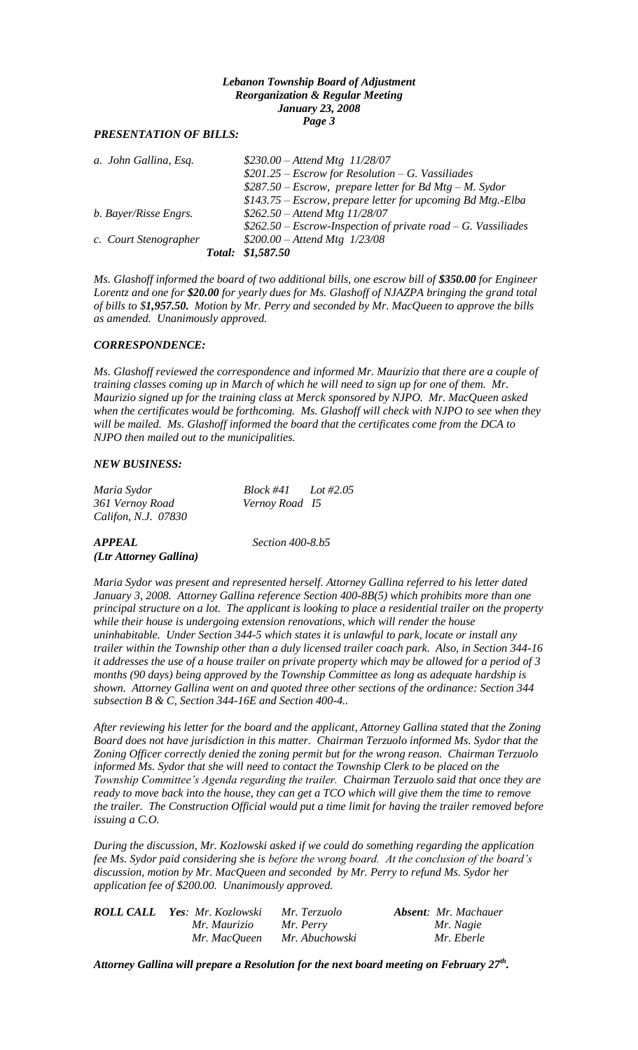#### *Lebanon Township Board of Adjustment Reorganization & Regular Meeting January 23, 2008 Page 3*

## *PRESENTATION OF BILLS:*

| a. John Gallina, Esq. | $$230.00 - Attend Mtg$ 11/28/07                                |
|-----------------------|----------------------------------------------------------------|
|                       | $$201.25 - Escrow for Resolution - G. Vassiliades$             |
|                       | $$287.50 - Escrow, prepare letter for Bd Mtg - M. Sydor$       |
|                       | \$143.75 – Escrow, prepare letter for upcoming Bd Mtg.-Elba    |
| b. Bayer/Risse Engrs. | $$262.50 - Attend Mtg 11/28/07$                                |
|                       | $$262.50 - Escrow-Inspection of private road - G. Vassiliades$ |
| c. Court Stenographer | $$200.00 - Attend Mtg$ 1/23/08                                 |
|                       | Total: \$1,587.50                                              |

*Ms. Glashoff informed the board of two additional bills, one escrow bill of \$350.00 for Engineer Lorentz and one for \$20.00 for yearly dues for Ms. Glashoff of NJAZPA bringing the grand total of bills to \$1,957.50. Motion by Mr. Perry and seconded by Mr. MacQueen to approve the bills as amended. Unanimously approved.*

#### *CORRESPONDENCE:*

*Ms. Glashoff reviewed the correspondence and informed Mr. Maurizio that there are a couple of training classes coming up in March of which he will need to sign up for one of them. Mr. Maurizio signed up for the training class at Merck sponsored by NJPO. Mr. MacQueen asked when the certificates would be forthcoming. Ms. Glashoff will check with NJPO to see when they will be mailed. Ms. Glashoff informed the board that the certificates come from the DCA to NJPO then mailed out to the municipalities.*

#### *NEW BUSINESS:*

| Maria Sydor         | $Block #41$ $Lot #2.05$ |  |
|---------------------|-------------------------|--|
| 361 Vernoy Road     | Vernoy Road 15          |  |
| Califon, N.J. 07830 |                         |  |

#### *APPEAL Section 400-8.b5 (Ltr Attorney Gallina)*

*Maria Sydor was present and represented herself. Attorney Gallina referred to his letter dated January 3, 2008. Attorney Gallina reference Section 400-8B(5) which prohibits more than one principal structure on a lot. The applicant is looking to place a residential trailer on the property while their house is undergoing extension renovations, which will render the house uninhabitable. Under Section 344-5 which states it is unlawful to park, locate or install any trailer within the Township other than a duly licensed trailer coach park. Also, in Section 344-16 it addresses the use of a house trailer on private property which may be allowed for a period of 3 months (90 days) being approved by the Township Committee as long as adequate hardship is shown. Attorney Gallina went on and quoted three other sections of the ordinance: Section 344 subsection B & C, Section 344-16E and Section 400-4..*

*After reviewing his letter for the board and the applicant, Attorney Gallina stated that the Zoning Board does not have jurisdiction in this matter. Chairman Terzuolo informed Ms. Sydor that the Zoning Officer correctly denied the zoning permit but for the wrong reason. Chairman Terzuolo informed Ms. Sydor that she will need to contact the Township Clerk to be placed on the Township Committee's Agenda regarding the trailer. Chairman Terzuolo said that once they are ready to move back into the house, they can get a TCO which will give them the time to remove the trailer. The Construction Official would put a time limit for having the trailer removed before issuing a C.O.*

*During the discussion, Mr. Kozlowski asked if we could do something regarding the application fee Ms. Sydor paid considering she is before the wrong board. At the conclusion of the board's discussion, motion by Mr. MacQueen and seconded by Mr. Perry to refund Ms. Sydor her application fee of \$200.00. Unanimously approved.*

| <b>ROLL CALL Yes: Mr. Kozlowski</b> | Mr. Terzuolo   | <b>Absent:</b> Mr. Machauer |
|-------------------------------------|----------------|-----------------------------|
| Mr. Maurizio                        | Mr. Perry      | Mr. Nagie                   |
| Mr. MacQueen                        | Mr. Abuchowski | Mr. Eberle                  |

*Attorney Gallina will prepare a Resolution for the next board meeting on February 27th .*